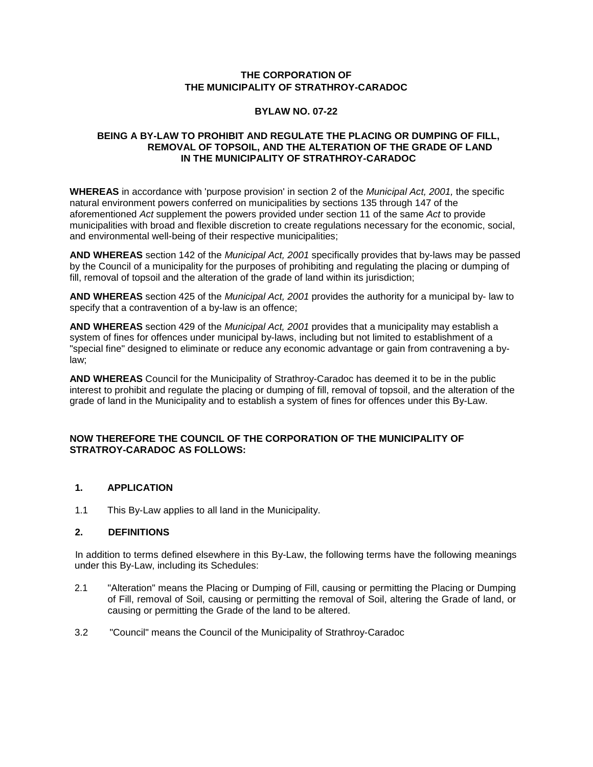# **THE CORPORATION OF THE MUNICIPALITY OF STRATHROY-CARADOC**

# **BYLAW NO. 07-22**

# **BEING A BY-LAW TO PROHIBIT AND REGULATE THE PLACING OR DUMPING OF FILL, REMOVAL OF TOPSOIL, AND THE ALTERATION OF THE GRADE OF LAND IN THE MUNICIPALITY OF STRATHROY-CARADOC**

**WHEREAS** in accordance with 'purpose provision' in section 2 of the *Municipal Act, 2001,* the specific natural environment powers conferred on municipalities by sections 135 through 147 of the aforementioned *Act* supplement the powers provided under section 11 of the same *Act* to provide municipalities with broad and flexible discretion to create regulations necessary for the economic, social, and environmental well-being of their respective municipalities;

**AND WHEREAS** section 142 of the *Municipal Act, 2001* specifically provides that by-laws may be passed by the Council of a municipality for the purposes of prohibiting and regulating the placing or dumping of fill, removal of topsoil and the alteration of the grade of land within its jurisdiction;

**AND WHEREAS** section 425 of the *Municipal Act, 2001* provides the authority for a municipal by- law to specify that a contravention of a by-law is an offence;

**AND WHEREAS** section 429 of the *Municipal Act, 2001* provides that a municipality may establish a system of fines for offences under municipal by-laws, including but not limited to establishment of a "special fine" designed to eliminate or reduce any economic advantage or gain from contravening a bylaw;

**AND WHEREAS** Council for the Municipality of Strathroy-Caradoc has deemed it to be in the public interest to prohibit and regulate the placing or dumping of fill, removal of topsoil, and the alteration of the grade of land in the Municipality and to establish a system of fines for offences under this By-Law.

# **NOW THEREFORE THE COUNCIL OF THE CORPORATION OF THE MUNICIPALITY OF STRATROY-CARADOC AS FOLLOWS:**

# **1. APPLICATION**

1.1 This By-Law applies to all land in the Municipality.

### **2. DEFINITIONS**

In addition to terms defined elsewhere in this By-Law, the following terms have the following meanings under this By-Law, including its Schedules:

- 2.1 "Alteration" means the Placing or Dumping of Fill, causing or permitting the Placing or Dumping of Fill, removal of Soil, causing or permitting the removal of Soil, altering the Grade of land, or causing or permitting the Grade of the land to be altered.
- 3.2 "Council" means the Council of the Municipality of Strathroy-Caradoc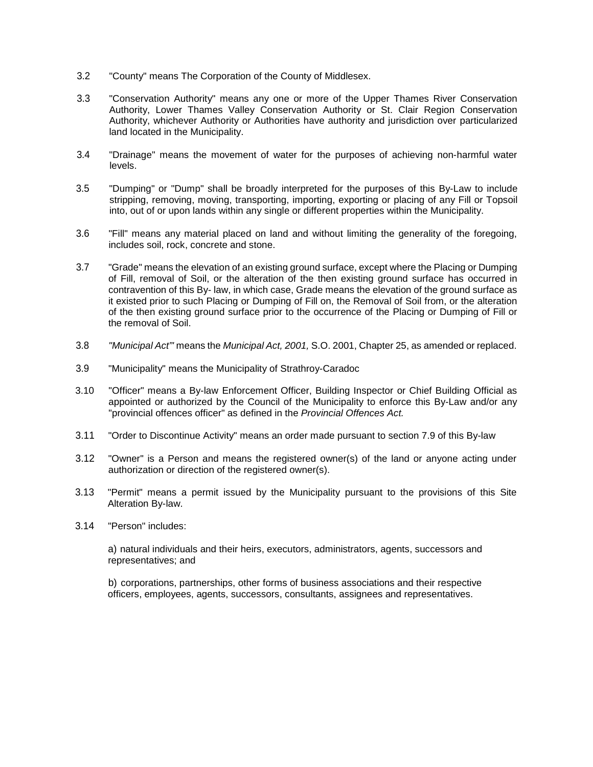- 3.2 "County" means The Corporation of the County of Middlesex.
- 3.3 "Conservation Authority" means any one or more of the Upper Thames River Conservation Authority, Lower Thames Valley Conservation Authority or St. Clair Region Conservation Authority, whichever Authority or Authorities have authority and jurisdiction over particularized land located in the Municipality.
- 3.4 "Drainage" means the movement of water for the purposes of achieving non-harmful water levels.
- 3.5 "Dumping" or "Dump" shall be broadly interpreted for the purposes of this By-Law to include stripping, removing, moving, transporting, importing, exporting or placing of any Fill or Topsoil into, out of or upon lands within any single or different properties within the Municipality.
- 3.6 "Fill" means any material placed on land and without limiting the generality of the foregoing, includes soil, rock, concrete and stone.
- 3.7 "Grade" means the elevation of an existing ground surface, except where the Placing or Dumping of Fill, removal of Soil, or the alteration of the then existing ground surface has occurred in contravention of this By- law, in which case, Grade means the elevation of the ground surface as it existed prior to such Placing or Dumping of Fill on, the Removal of Soil from, or the alteration of the then existing ground surface prior to the occurrence of the Placing or Dumping of Fill or the removal of Soil.
- 3.8 *"Municipal Act"'* means the *Municipal Act, 2001,* S.O. 2001, Chapter 25, as amended or replaced.
- 3.9 "Municipality" means the Municipality of Strathroy-Caradoc
- 3.10 "Officer" means a By-law Enforcement Officer, Building Inspector or Chief Building Official as appointed or authorized by the Council of the Municipality to enforce this By-Law and/or any "provincial offences officer" as defined in the *Provincial Offences Act.*
- 3.11 "Order to Discontinue Activity" means an order made pursuant to section 7.9 of this By-law
- 3.12 "Owner" is a Person and means the registered owner(s) of the land or anyone acting under authorization or direction of the registered owner(s).
- 3.13 "Permit" means a permit issued by the Municipality pursuant to the provisions of this Site Alteration By-law.
- 3.14 "Person" includes:

a) natural individuals and their heirs, executors, administrators, agents, successors and representatives; and

b) corporations, partnerships, other forms of business associations and their respective officers, employees, agents, successors, consultants, assignees and representatives.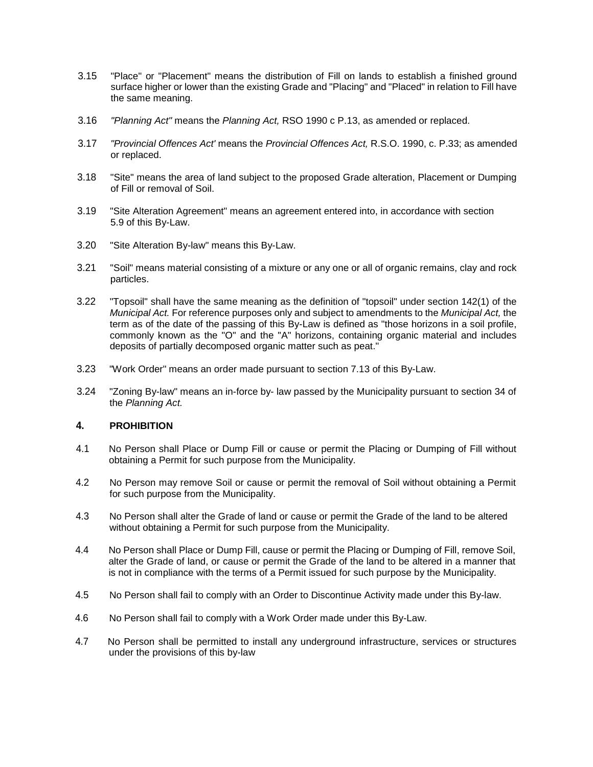- 3.15 "Place" or "Placement" means the distribution of Fill on lands to establish a finished ground surface higher or lower than the existing Grade and "Placing" and "Placed" in relation to Fill have the same meaning.
- 3.16 *"Planning Act"* means the *Planning Act,* RSO 1990 c P.13, as amended or replaced.
- 3.17 *"Provincial Offences Act'* means the *Provincial Offences Act,* R.S.O. 1990, c. P.33; as amended or replaced.
- 3.18 "Site" means the area of land subject to the proposed Grade alteration, Placement or Dumping of Fill or removal of Soil.
- 3.19 "Site Alteration Agreement" means an agreement entered into, in accordance with section 5.9 of this By-Law.
- 3.20 "Site Alteration By-law" means this By-Law.
- 3.21 "Soil" means material consisting of a mixture or any one or all of organic remains, clay and rock particles.
- 3.22 "Topsoil" shall have the same meaning as the definition of "topsoil" under section 142(1) of the *Municipal Act.* For reference purposes only and subject to amendments to the *Municipal Act,* the term as of the date of the passing of this By-Law is defined as "those horizons in a soil profile, commonly known as the "O" and the "A" horizons, containing organic material and includes deposits of partially decomposed organic matter such as peat."
- 3.23 "Work Order" means an order made pursuant to section 7.13 of this By-Law.
- 3.24 "Zoning By-law" means an in-force by- law passed by the Municipality pursuant to section 34 of the *Planning Act.*

### **4. PROHIBITION**

- 4.1 No Person shall Place or Dump Fill or cause or permit the Placing or Dumping of Fill without obtaining a Permit for such purpose from the Municipality.
- 4.2 No Person may remove Soil or cause or permit the removal of Soil without obtaining a Permit for such purpose from the Municipality.
- 4.3 No Person shall alter the Grade of land or cause or permit the Grade of the land to be altered without obtaining a Permit for such purpose from the Municipality.
- 4.4 No Person shall Place or Dump Fill, cause or permit the Placing or Dumping of Fill, remove Soil, alter the Grade of land, or cause or permit the Grade of the land to be altered in a manner that is not in compliance with the terms of a Permit issued for such purpose by the Municipality.
- 4.5 No Person shall fail to comply with an Order to Discontinue Activity made under this By-law.
- 4.6 No Person shall fail to comply with a Work Order made under this By-Law.
- 4.7 No Person shall be permitted to install any underground infrastructure, services or structures under the provisions of this by-law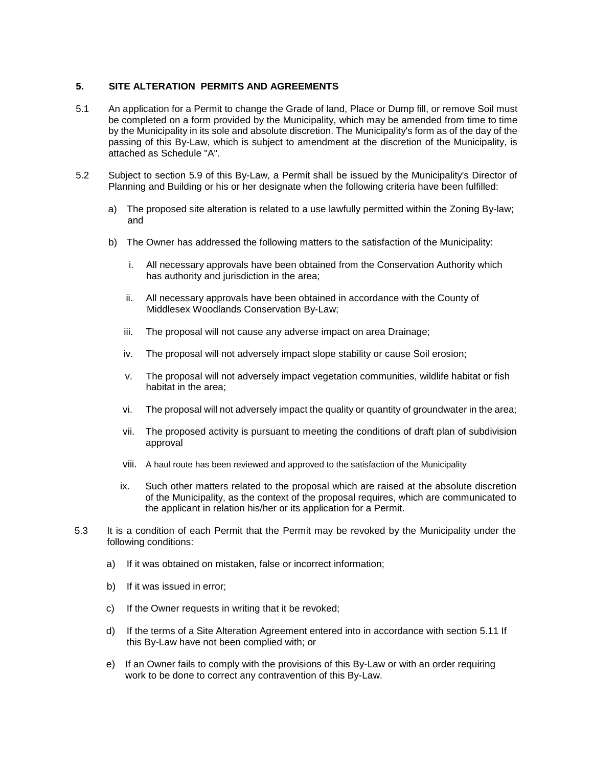# **5. SITE ALTERATION PERMITS AND AGREEMENTS**

- 5.1 An application for a Permit to change the Grade of land, Place or Dump fill, or remove Soil must be completed on a form provided by the Municipality, which may be amended from time to time by the Municipality in its sole and absolute discretion. The Municipality's form as of the day of the passing of this By-Law, which is subject to amendment at the discretion of the Municipality, is attached as Schedule "A".
- 5.2 Subject to section 5.9 of this By-Law, a Permit shall be issued by the Municipality's Director of Planning and Building or his or her designate when the following criteria have been fulfilled:
	- a) The proposed site alteration is related to a use lawfully permitted within the Zoning By-law; and
	- b) The Owner has addressed the following matters to the satisfaction of the Municipality:
		- i. All necessary approvals have been obtained from the Conservation Authority which has authority and jurisdiction in the area;
		- ii. All necessary approvals have been obtained in accordance with the County of Middlesex Woodlands Conservation By-Law;
		- iii. The proposal will not cause any adverse impact on area Drainage;
		- iv. The proposal will not adversely impact slope stability or cause Soil erosion;
		- v. The proposal will not adversely impact vegetation communities, wildlife habitat or fish habitat in the area;
		- vi. The proposal will not adversely impact the quality or quantity of groundwater in the area;
		- vii. The proposed activity is pursuant to meeting the conditions of draft plan of subdivision approval
		- viii. A haul route has been reviewed and approved to the satisfaction of the Municipality
		- ix. Such other matters related to the proposal which are raised at the absolute discretion of the Municipality, as the context of the proposal requires, which are communicated to the applicant in relation his/her or its application for a Permit.
- 5.3 It is a condition of each Permit that the Permit may be revoked by the Municipality under the following conditions:
	- a) If it was obtained on mistaken, false or incorrect information;
	- b) If it was issued in error;
	- c) If the Owner requests in writing that it be revoked;
	- d) If the terms of a Site Alteration Agreement entered into in accordance with section 5.11 If this By-Law have not been complied with; or
	- e) If an Owner fails to comply with the provisions of this By-Law or with an order requiring work to be done to correct any contravention of this By-Law.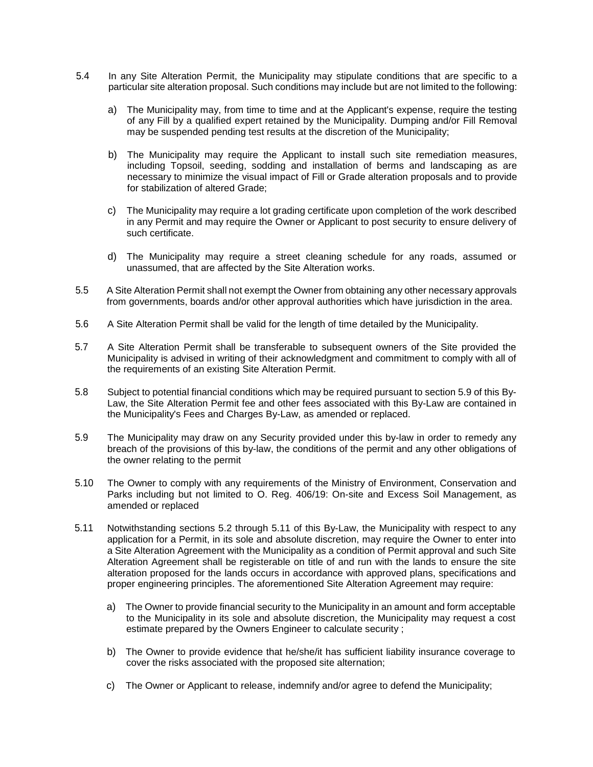- 5.4 In any Site Alteration Permit, the Municipality may stipulate conditions that are specific to a particular site alteration proposal. Such conditions may include but are not limited to the following:
	- a) The Municipality may, from time to time and at the Applicant's expense, require the testing of any Fill by a qualified expert retained by the Municipality. Dumping and/or Fill Removal may be suspended pending test results at the discretion of the Municipality;
	- b) The Municipality may require the Applicant to install such site remediation measures, including Topsoil, seeding, sodding and installation of berms and landscaping as are necessary to minimize the visual impact of Fill or Grade alteration proposals and to provide for stabilization of altered Grade;
	- c) The Municipality may require a lot grading certificate upon completion of the work described in any Permit and may require the Owner or Applicant to post security to ensure delivery of such certificate.
	- d) The Municipality may require a street cleaning schedule for any roads, assumed or unassumed, that are affected by the Site Alteration works.
- 5.5 A Site Alteration Permit shall not exempt the Owner from obtaining any other necessary approvals from governments, boards and/or other approval authorities which have jurisdiction in the area.
- 5.6 A Site Alteration Permit shall be valid for the length of time detailed by the Municipality.
- 5.7 A Site Alteration Permit shall be transferable to subsequent owners of the Site provided the Municipality is advised in writing of their acknowledgment and commitment to comply with all of the requirements of an existing Site Alteration Permit.
- 5.8 Subject to potential financial conditions which may be required pursuant to section 5.9 of this By-Law, the Site Alteration Permit fee and other fees associated with this By-Law are contained in the Municipality's Fees and Charges By-Law, as amended or replaced.
- 5.9 The Municipality may draw on any Security provided under this by-law in order to remedy any breach of the provisions of this by-law, the conditions of the permit and any other obligations of the owner relating to the permit
- 5.10 The Owner to comply with any requirements of the Ministry of Environment, Conservation and Parks including but not limited to O. Reg. 406/19: On-site and Excess Soil Management, as amended or replaced
- 5.11 Notwithstanding sections 5.2 through 5.11 of this By-Law, the Municipality with respect to any application for a Permit, in its sole and absolute discretion, may require the Owner to enter into a Site Alteration Agreement with the Municipality as a condition of Permit approval and such Site Alteration Agreement shall be registerable on title of and run with the lands to ensure the site alteration proposed for the lands occurs in accordance with approved plans, specifications and proper engineering principles. The aforementioned Site Alteration Agreement may require:
	- a) The Owner to provide financial security to the Municipality in an amount and form acceptable to the Municipality in its sole and absolute discretion, the Municipality may request a cost estimate prepared by the Owners Engineer to calculate security ;
	- b) The Owner to provide evidence that he/she/it has sufficient liability insurance coverage to cover the risks associated with the proposed site alternation;
	- c) The Owner or Applicant to release, indemnify and/or agree to defend the Municipality;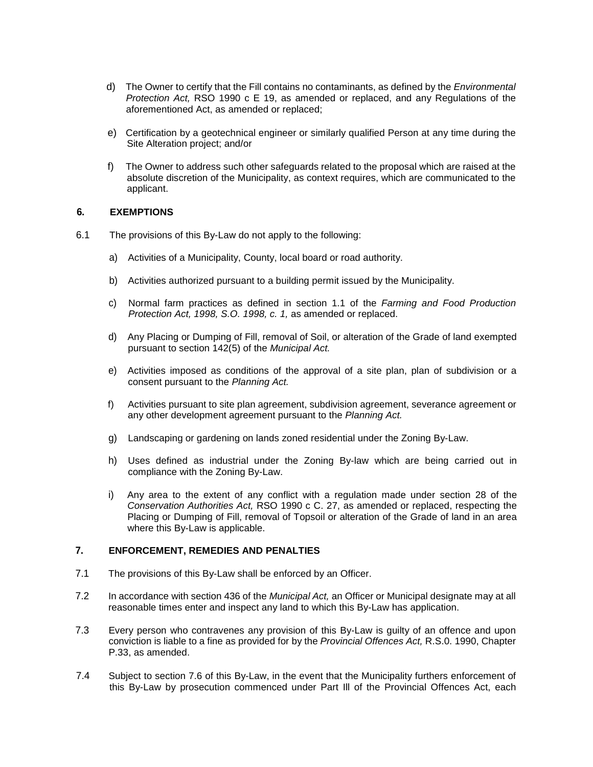- d) The Owner to certify that the Fill contains no contaminants, as defined by the *Environmental Protection Act,* RSO 1990 c E 19, as amended or replaced, and any Regulations of the aforementioned Act, as amended or replaced;
- e) Certification by a geotechnical engineer or similarly qualified Person at any time during the Site Alteration project; and/or
- f) The Owner to address such other safeguards related to the proposal which are raised at the absolute discretion of the Municipality, as context requires, which are communicated to the applicant.

## **6. EXEMPTIONS**

- 6.1 The provisions of this By-Law do not apply to the following:
	- a) Activities of a Municipality, County, local board or road authority.
	- b) Activities authorized pursuant to a building permit issued by the Municipality.
	- c) Normal farm practices as defined in section 1.1 of the *Farming and Food Production Protection Act, 1998, S.O. 1998, c. 1,* as amended or replaced.
	- d) Any Placing or Dumping of Fill, removal of Soil, or alteration of the Grade of land exempted pursuant to section 142(5) of the *Municipal Act.*
	- e) Activities imposed as conditions of the approval of a site plan, plan of subdivision or a consent pursuant to the *Planning Act.*
	- f) Activities pursuant to site plan agreement, subdivision agreement, severance agreement or any other development agreement pursuant to the *Planning Act.*
	- g) Landscaping or gardening on lands zoned residential under the Zoning By-Law.
	- h) Uses defined as industrial under the Zoning By-law which are being carried out in compliance with the Zoning By-Law.
	- i) Any area to the extent of any conflict with a regulation made under section 28 of the *Conservation Authorities Act,* RSO 1990 c C. 27, as amended or replaced, respecting the Placing or Dumping of Fill, removal of Topsoil or alteration of the Grade of land in an area where this By-Law is applicable.

## **7. ENFORCEMENT, REMEDIES AND PENALTIES**

- 7.1 The provisions of this By-Law shall be enforced by an Officer.
- 7.2 In accordance with section 436 of the *Municipal Act,* an Officer or Municipal designate may at all reasonable times enter and inspect any land to which this By-Law has application.
- 7.3 Every person who contravenes any provision of this By-Law is guilty of an offence and upon conviction is liable to a fine as provided for by the *Provincial Offences Act,* R.S.0. 1990, Chapter P.33, as amended.
- 7.4 Subject to section 7.6 of this By-Law, in the event that the Municipality furthers enforcement of this By-Law by prosecution commenced under Part Ill of the Provincial Offences Act, each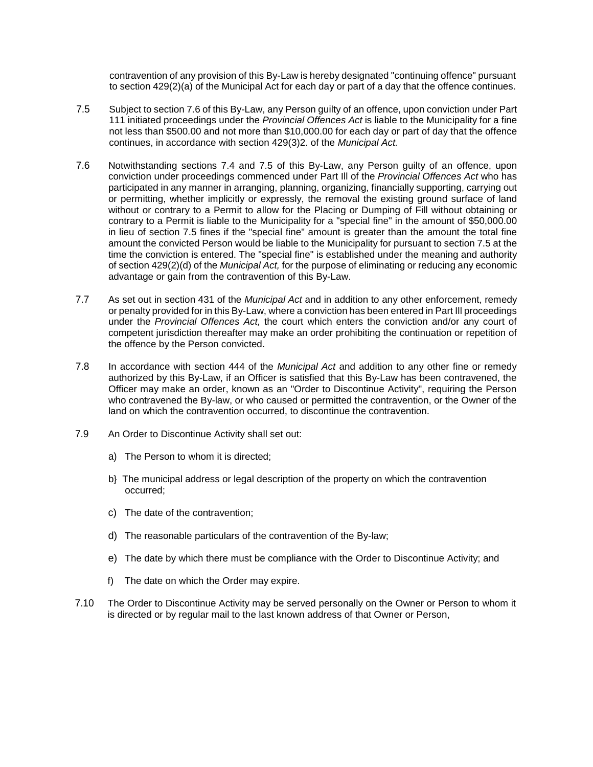contravention of any provision of this By-Law is hereby designated "continuing offence" pursuant to section 429(2)(a) of the Municipal Act for each day or part of a day that the offence continues.

- 7.5 Subject to section 7.6 of this By-Law, any Person guilty of an offence, upon conviction under Part 111 initiated proceedings under the *Provincial Offences Act* is liable to the Municipality for a fine not less than \$500.00 and not more than \$10,000.00 for each day or part of day that the offence continues, in accordance with section 429(3)2. of the *Municipal Act.*
- 7.6 Notwithstanding sections 7.4 and 7.5 of this By-Law, any Person guilty of an offence, upon conviction under proceedings commenced under Part Ill of the *Provincial Offences Act* who has participated in any manner in arranging, planning, organizing, financially supporting, carrying out or permitting, whether implicitly or expressly, the removal the existing ground surface of land without or contrary to a Permit to allow for the Placing or Dumping of Fill without obtaining or contrary to a Permit is liable to the Municipality for a "special fine" in the amount of \$50,000.00 in lieu of section 7.5 fines if the "special fine" amount is greater than the amount the total fine amount the convicted Person would be liable to the Municipality for pursuant to section 7.5 at the time the conviction is entered. The "special fine" is established under the meaning and authority of section 429(2)(d) of the *Municipal Act,* for the purpose of eliminating or reducing any economic advantage or gain from the contravention of this By-Law.
- 7.7 As set out in section 431 of the *Municipal Act* and in addition to any other enforcement, remedy or penalty provided for in this By-Law, where a conviction has been entered in Part Ill proceedings under the *Provincial Offences Act,* the court which enters the conviction and/or any court of competent jurisdiction thereafter may make an order prohibiting the continuation or repetition of the offence by the Person convicted.
- 7.8 In accordance with section 444 of the *Municipal Act* and addition to any other fine or remedy authorized by this By-Law, if an Officer is satisfied that this By-Law has been contravened, the Officer may make an order, known as an "Order to Discontinue Activity", requiring the Person who contravened the By-law, or who caused or permitted the contravention, or the Owner of the land on which the contravention occurred, to discontinue the contravention.
- 7.9 An Order to Discontinue Activity shall set out:
	- a) The Person to whom it is directed;
	- b} The municipal address or legal description of the property on which the contravention occurred;
	- c) The date of the contravention;
	- d) The reasonable particulars of the contravention of the By-law;
	- e) The date by which there must be compliance with the Order to Discontinue Activity; and
	- f) The date on which the Order may expire.
- 7.10 The Order to Discontinue Activity may be served personally on the Owner or Person to whom it is directed or by regular mail to the last known address of that Owner or Person,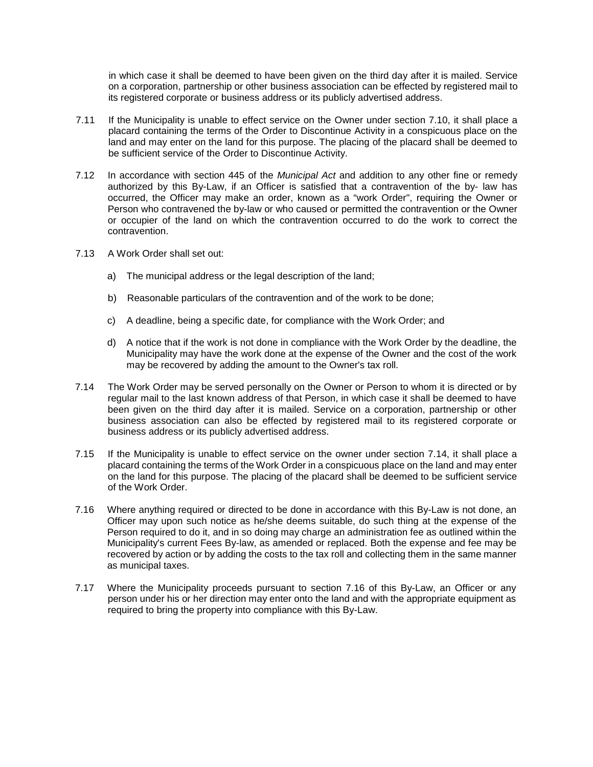in which case it shall be deemed to have been given on the third day after it is mailed. Service on a corporation, partnership or other business association can be effected by registered mail to its registered corporate or business address or its publicly advertised address.

- 7.11 If the Municipality is unable to effect service on the Owner under section 7.10, it shall place a placard containing the terms of the Order to Discontinue Activity in a conspicuous place on the land and may enter on the land for this purpose. The placing of the placard shall be deemed to be sufficient service of the Order to Discontinue Activity.
- 7.12 In accordance with section 445 of the *Municipal Act* and addition to any other fine or remedy authorized by this By-Law, if an Officer is satisfied that a contravention of the by- law has occurred, the Officer may make an order, known as a "work Order", requiring the Owner or Person who contravened the by-law or who caused or permitted the contravention or the Owner or occupier of the land on which the contravention occurred to do the work to correct the contravention.
- 7.13 A Work Order shall set out:
	- a) The municipal address or the legal description of the land;
	- b) Reasonable particulars of the contravention and of the work to be done;
	- c) A deadline, being a specific date, for compliance with the Work Order; and
	- d) A notice that if the work is not done in compliance with the Work Order by the deadline, the Municipality may have the work done at the expense of the Owner and the cost of the work may be recovered by adding the amount to the Owner's tax roll.
- 7.14 The Work Order may be served personally on the Owner or Person to whom it is directed or by regular mail to the last known address of that Person, in which case it shall be deemed to have been given on the third day after it is mailed. Service on a corporation, partnership or other business association can also be effected by registered mail to its registered corporate or business address or its publicly advertised address.
- 7.15 If the Municipality is unable to effect service on the owner under section 7.14, it shall place a placard containing the terms of the Work Order in a conspicuous place on the land and may enter on the land for this purpose. The placing of the placard shall be deemed to be sufficient service of the Work Order.
- 7.16 Where anything required or directed to be done in accordance with this By-Law is not done, an Officer may upon such notice as he/she deems suitable, do such thing at the expense of the Person required to do it, and in so doing may charge an administration fee as outlined within the Municipality's current Fees By-law, as amended or replaced. Both the expense and fee may be recovered by action or by adding the costs to the tax roll and collecting them in the same manner as municipal taxes.
- 7.17 Where the Municipality proceeds pursuant to section 7.16 of this By-Law, an Officer or any person under his or her direction may enter onto the land and with the appropriate equipment as required to bring the property into compliance with this By-Law.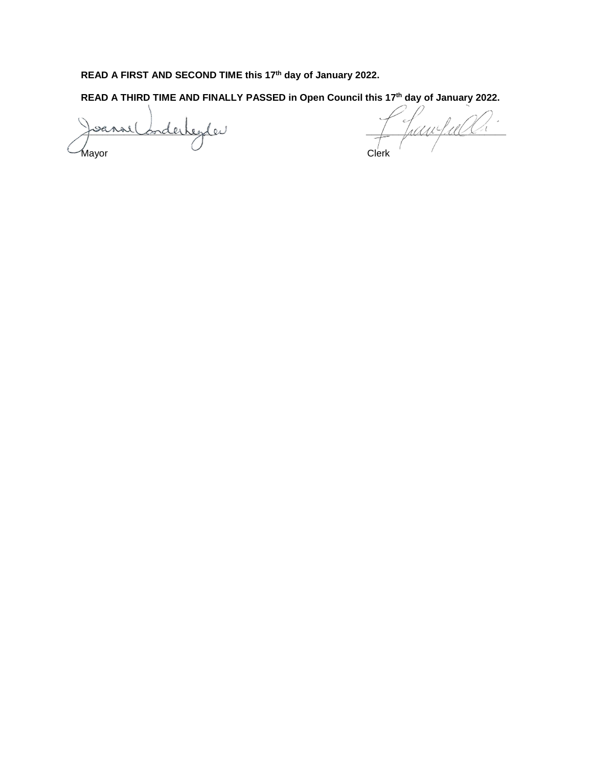# **READ A FIRST AND SECOND TIME this 17th day of January 2022.**

**READ A THIRD TIME AND FINALLY PASSED in Open Council this 17th day of January 2022.** 

Mayor Clerk

sanse Corderheyles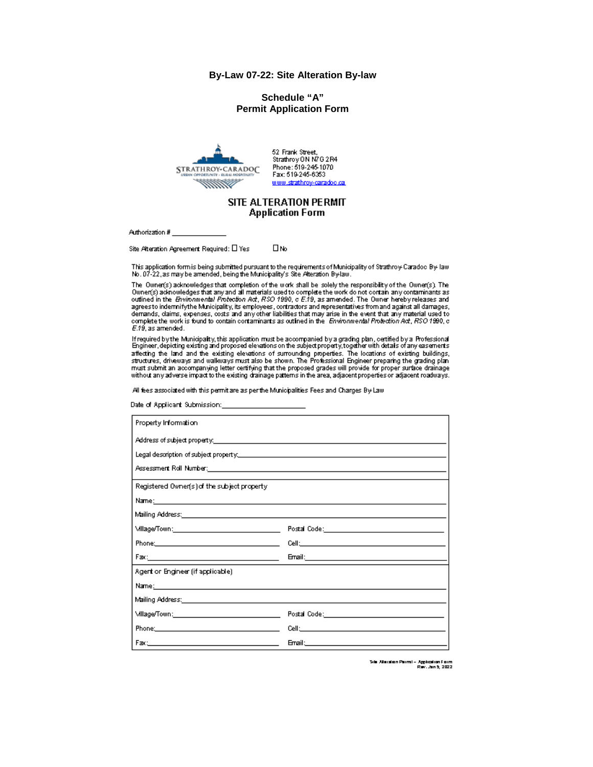#### By-Law 07-22: Site Alteration By-law

#### Schedule "A" **Permit Application Form**



52 Frank Street. Strathroy ON N7G 2R4 Phone: 519-245-1070 Fax: 519-245-6353 www.strathrov-caradoc.ca

#### SITE ALTERATION PERMIT **Application Form**

Authorization #

Site Alteration Agreement Required: [ ] Yes Пю

This application form is being submitted pursuant to the requirements of Municipality of Strathroy-Caradoo By-law No. 07-22, as may be amended, being the Municipality's Site Alteration By-law.

The Owner(s) acknowledges that completion of the work shall be solely the responsibility of the Owner(s). The Owner(s) admowledges that any and all materials used to complete the work do not contain any contaminants as outlined in the *Brvitonmental Protection Act*, RSO 1990, c E.19, as amended. The Owner hereby releases and agrees to indernnify the Municipality, its employees, contractors and representatives from and against all damages, demands, daims, expenses, costs and any other liabilities that may arise in the event that any material used to complete the work is found to contain containmants as outlined in the Environmental Protection Act, RSO 1990, c  $E.19$ , as amended.

If required by the Municipality, this application must be accompanied by a grading plan, certified by a Professional<br>Engineer, depicting existing and proposed elevations on the subject property, together with details of an must submit an accompanying letter certifying that the proposed grades will provide for proper surface drainage without any adverse impact to the existing drainage patterns in the area, adjacent properties or adjacent roadways.

All fees associated with this permit are as per the Municipalities Fees and Charges By-Law

Date of Applicant Submission:

| Property Information                                                                                             |                                                                                                                                                                                                                                |  |  |
|------------------------------------------------------------------------------------------------------------------|--------------------------------------------------------------------------------------------------------------------------------------------------------------------------------------------------------------------------------|--|--|
| Address of subject property: the contract of the contract of the contract of the contract of the contract of the |                                                                                                                                                                                                                                |  |  |
|                                                                                                                  |                                                                                                                                                                                                                                |  |  |
|                                                                                                                  |                                                                                                                                                                                                                                |  |  |
| Registered Owner(s) of the subject property.                                                                     |                                                                                                                                                                                                                                |  |  |
|                                                                                                                  |                                                                                                                                                                                                                                |  |  |
|                                                                                                                  |                                                                                                                                                                                                                                |  |  |
| \//llage/Town:___________________________________                                                                |                                                                                                                                                                                                                                |  |  |
| Phone: 2008 - 2008 - 2010 - 2010 - 2010 - 2011 - 2012 - 2012 - 2014 - 2014 - 2014 - 2014 - 2014 - 2014 - 2014    |                                                                                                                                                                                                                                |  |  |
|                                                                                                                  |                                                                                                                                                                                                                                |  |  |
| Agent or Engineer (if applicable).                                                                               |                                                                                                                                                                                                                                |  |  |
| Name; http://www.com/communications/communications/communications/communications/                                |                                                                                                                                                                                                                                |  |  |
| Mailing Address: Annual Marian Communication of the Communication of the Communication of the Communication of   |                                                                                                                                                                                                                                |  |  |
|                                                                                                                  |                                                                                                                                                                                                                                |  |  |
| Phone: 2008 2010 2010 2010 2010 2011 2012 2013 2014 2015 2016 2017 2018 2019 2019 2017 2018 2019 2019 2017 20    | Cell: Cell Contract and Contract Contract and Contract Contract Contract Contract Contract Contract Contract Contract Contract Contract Contract Contract Contract Contract Contract Contract Contract Contract Contract Contr |  |  |
| Factor and the contract of the contract of the contract of the contract of the contract of the contract of the   |                                                                                                                                                                                                                                |  |  |

Sila Allaration Parmi – Application Form<br>Rev. Jan 5, 2022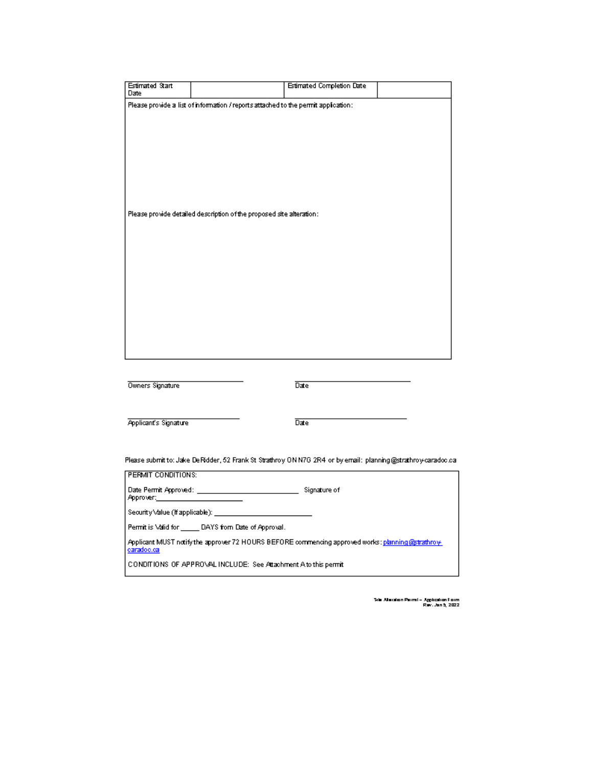| <b>Estimated Start</b><br>Date                                                                                  | <b>Estimated Completion Date</b>                                     |  |  |  |
|-----------------------------------------------------------------------------------------------------------------|----------------------------------------------------------------------|--|--|--|
| Please provide a list of information / reports attached to the permit application:                              |                                                                      |  |  |  |
|                                                                                                                 | Please provide detailed description of the proposed site alteration: |  |  |  |
| Owners Signature                                                                                                | Date                                                                 |  |  |  |
| <b>Applicant's Signature</b>                                                                                    | Date <sup>-</sup>                                                    |  |  |  |
| Please submit to: Jake De Ridder, 52 Frank St Strathroy ON N7G 2R4 or by email: planning@strathroy-caradoc.ca.  |                                                                      |  |  |  |
| <b>PERMIT CONDITIONS:</b>                                                                                       |                                                                      |  |  |  |
| Approver:__________                                                                                             | Signature of                                                         |  |  |  |
|                                                                                                                 | Security\/alue (If applicable): _____________                        |  |  |  |
|                                                                                                                 | Permit is Valid for _______ DAYS from Date of Approval.              |  |  |  |
| Applicant MUST notify the approver 72 HOURS BEFORE commencing approved works: planning@strathrove<br>caradoc.ca |                                                                      |  |  |  |
| CONDITIONS OF APPROVAL INCLUDE: See Attachment A to this permit                                                 |                                                                      |  |  |  |
|                                                                                                                 |                                                                      |  |  |  |

ر<br>Sile Alleration Permi – Application Form<br>Rev. Jan 5, 2022